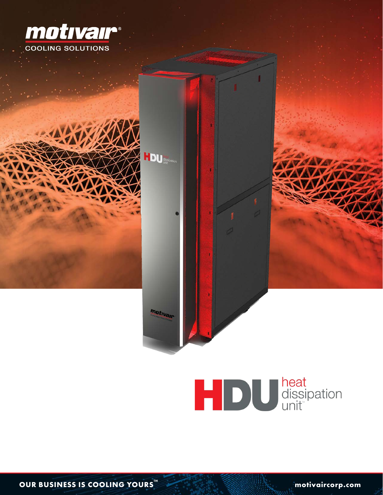





**OUR BUSINESS IS COOLING YOURS<sup>™</sup> THE COOLIST COOLING YOURS**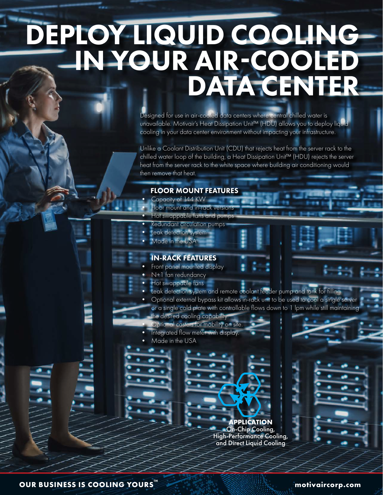# DEPLOY LIQUID COOLING-IN YOUR AIR-COOLED **DATA CENTER**

Designed for use in air-cooled data centers where central chilled water is unavailable. Motivair's Heat Dissipation Unit™ (HDU) allows you to deploy liquid cooling in your data center environment without impacting your infrastructure.

Unlike a Coolant Distribution Unit (CDU) that rejects heat from the server rack to the chilled water loop of the building, a Heat Dissipation Unit™ (HDU) rejects the server heat from the server rack to the white space where building air conditioning would then remove that heat.

#### FLOOR MOUNT FEATURES

- Capacity of 144 KW • Floor mount and in-rack versions
- Hot swappable fans and pumps
- Redundant circulation pumps
- **Leak detection system**
- Made in the USA

#### IN-RACK FEATURES

- Front panel mounted display
- N+1 fan redundancy
- Hot swappable fans
- Leak detection system and remote coolant feeder pump and tank for filling
	- Optional external bypass kit allows in-rack unit to be used to cool a single server or a single cold plate with controllable flows down to 1 lpm while still maintaining the desired cooling capability.
- Optional casters for mobility on site.
- Integrated flow meter with display.
- Made in the USA

**APPLICATION**  On-Chip Cooling, High-Performance Cooling, and Direct Liquid Cooling

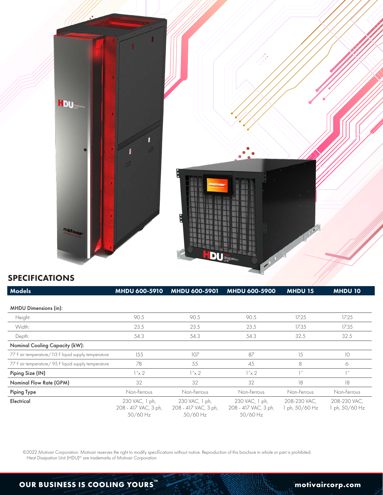

### SPECIFICATIONS

| <b>Models</b>                                        | MHDU 600-5910                                      | MHDU 600-5901                                      | <b>MHDU 600-5900</b>                               | <b>MHDU 15</b>                 | <b>MHDU 10</b>               |
|------------------------------------------------------|----------------------------------------------------|----------------------------------------------------|----------------------------------------------------|--------------------------------|------------------------------|
|                                                      |                                                    |                                                    |                                                    |                                |                              |
| <b>MHDU Dimensions (in):</b>                         |                                                    |                                                    |                                                    |                                |                              |
| Height:                                              | 90.5                                               | 90.5                                               | 90.5                                               | 17.25                          | 17.25                        |
| Width:                                               | 23.5                                               | 23.5                                               | 23.5                                               | 17.35                          | 17.35                        |
| Depth:                                               | 54.3                                               | 54.3                                               | 54.3                                               | 32.5                           | 32.5                         |
| <b>Nominal Cooling Capacity (kW):</b>                |                                                    |                                                    |                                                    |                                |                              |
| 77 F air temperature/113 F liquid supply temperature | 155                                                | 107                                                | 87                                                 | 15                             | 10                           |
| 77 F air temperature/ 95 F liquid supply temperature | 78                                                 | 55                                                 | 45                                                 | 8                              | 6                            |
| Piping Size (IN)                                     | $1''\times 2$                                      | $1''\times 2$                                      | $1''\times 2$                                      | 1                              | 1''                          |
| Nominal Flow Rate (GPM)                              | 32                                                 | 32                                                 | 32                                                 | 18                             | 18                           |
| <b>Piping Type</b>                                   | Non-Ferrous                                        | Non-Ferrous                                        | Non-Ferrous                                        | Non-Ferrous                    | Non-Ferrous                  |
| Electrical                                           | 230 VAC, 1 ph,<br>208 - 417 VAC, 3 ph,<br>50/60 Hz | 230 VAC, 1 ph,<br>208 - 417 VAC, 3 ph,<br>50/60 Hz | 230 VAC, 1 ph,<br>208 - 417 VAC, 3 ph,<br>50/60 Hz | 208-230 VAC,<br>1 ph, 50/60 Hz | 208-230 VAC,<br>ph, 50/60 Hz |

©2022 Motivair Corporation. Motivair reserves the right to modify specifications without notice. Reproduction of this brochure in whole or part is prohibited. Heat Dissipation Unit (HDU)<sup>tm</sup> are trademarks of Motivair Corporation

## **OUR BUSINESS IS COOLING YOURS MOVID AND RESERVE THE MOVID AND RESERVE THE MOVID AND RESERVE THE MOVID AND RESERVE THE MOVID AND RESERVE THE MOVID AND RESERVE THE MOVID AND RESERVE THE MOVID AND RESERVE THE MOVID AND RES**